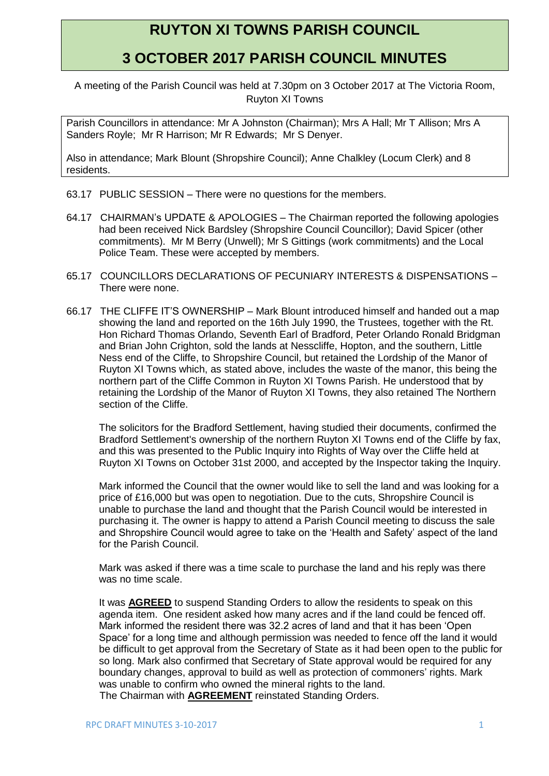## **RUYTON XI TOWNS PARISH COUNCIL**

## **3 OCTOBER 2017 PARISH COUNCIL MINUTES**

A meeting of the Parish Council was held at 7.30pm on 3 October 2017 at The Victoria Room, Ruyton XI Towns

Parish Councillors in attendance: Mr A Johnston (Chairman); Mrs A Hall; Mr T Allison; Mrs A Sanders Royle; Mr R Harrison; Mr R Edwards; Mr S Denyer.

Also in attendance; Mark Blount (Shropshire Council); Anne Chalkley (Locum Clerk) and 8 residents.

- 63.17 PUBLIC SESSION There were no questions for the members.
- 64.17 CHAIRMAN's UPDATE & APOLOGIES The Chairman reported the following apologies had been received Nick Bardsley (Shropshire Council Councillor); David Spicer (other commitments). Mr M Berry (Unwell); Mr S Gittings (work commitments) and the Local Police Team. These were accepted by members.
- 65.17 COUNCILLORS DECLARATIONS OF PECUNIARY INTERESTS & DISPENSATIONS There were none.
- 66.17 THE CLIFFE IT'S OWNERSHIP Mark Blount introduced himself and handed out a map showing the land and reported on the 16th July 1990, the Trustees, together with the Rt. Hon Richard Thomas Orlando, Seventh Earl of Bradford, Peter Orlando Ronald Bridgman and Brian John Crighton, sold the lands at Nesscliffe, Hopton, and the southern, Little Ness end of the Cliffe, to Shropshire Council, but retained the Lordship of the Manor of Ruyton XI Towns which, as stated above, includes the waste of the manor, this being the northern part of the Cliffe Common in Ruyton XI Towns Parish. He understood that by retaining the Lordship of the Manor of Ruyton XI Towns, they also retained The Northern section of the Cliffe.

The solicitors for the Bradford Settlement, having studied their documents, confirmed the Bradford Settlement's ownership of the northern Ruyton XI Towns end of the Cliffe by fax, and this was presented to the Public Inquiry into Rights of Way over the Cliffe held at Ruyton XI Towns on October 31st 2000, and accepted by the Inspector taking the Inquiry.

Mark informed the Council that the owner would like to sell the land and was looking for a price of £16,000 but was open to negotiation. Due to the cuts, Shropshire Council is unable to purchase the land and thought that the Parish Council would be interested in purchasing it. The owner is happy to attend a Parish Council meeting to discuss the sale and Shropshire Council would agree to take on the 'Health and Safety' aspect of the land for the Parish Council.

Mark was asked if there was a time scale to purchase the land and his reply was there was no time scale.

It was **AGREED** to suspend Standing Orders to allow the residents to speak on this agenda item. One resident asked how many acres and if the land could be fenced off. Mark informed the resident there was 32.2 acres of land and that it has been 'Open Space' for a long time and although permission was needed to fence off the land it would be difficult to get approval from the Secretary of State as it had been open to the public for so long. Mark also confirmed that Secretary of State approval would be required for any boundary changes, approval to build as well as protection of commoners' rights. Mark was unable to confirm who owned the mineral rights to the land. The Chairman with **AGREEMENT** reinstated Standing Orders.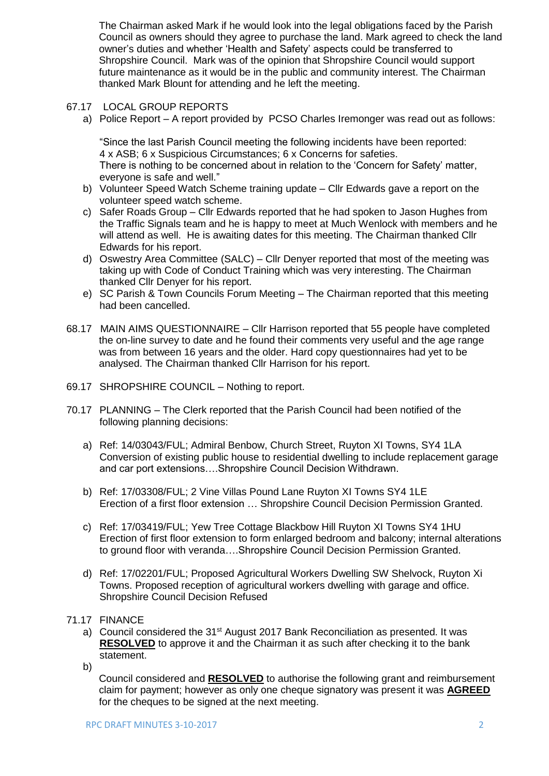The Chairman asked Mark if he would look into the legal obligations faced by the Parish Council as owners should they agree to purchase the land. Mark agreed to check the land owner's duties and whether 'Health and Safety' aspects could be transferred to Shropshire Council. Mark was of the opinion that Shropshire Council would support future maintenance as it would be in the public and community interest. The Chairman thanked Mark Blount for attending and he left the meeting.

- 67.17 LOCAL GROUP REPORTS
	- a) Police Report A report provided by PCSO Charles Iremonger was read out as follows:

"Since the last Parish Council meeting the following incidents have been reported: 4 x ASB; 6 x Suspicious Circumstances; 6 x Concerns for safeties. There is nothing to be concerned about in relation to the 'Concern for Safety' matter, everyone is safe and well."

- b) Volunteer Speed Watch Scheme training update Cllr Edwards gave a report on the volunteer speed watch scheme.
- c) Safer Roads Group Cllr Edwards reported that he had spoken to Jason Hughes from the Traffic Signals team and he is happy to meet at Much Wenlock with members and he will attend as well. He is awaiting dates for this meeting. The Chairman thanked Cllr Edwards for his report.
- d) Oswestry Area Committee (SALC) Cllr Denyer reported that most of the meeting was taking up with Code of Conduct Training which was very interesting. The Chairman thanked Cllr Denyer for his report.
- e) SC Parish & Town Councils Forum Meeting The Chairman reported that this meeting had been cancelled.
- 68.17 MAIN AIMS QUESTIONNAIRE Cllr Harrison reported that 55 people have completed the on-line survey to date and he found their comments very useful and the age range was from between 16 years and the older. Hard copy questionnaires had yet to be analysed. The Chairman thanked Cllr Harrison for his report.
- 69.17 SHROPSHIRE COUNCIL Nothing to report.
- 70.17 PLANNING The Clerk reported that the Parish Council had been notified of the following planning decisions:
	- a) Ref: 14/03043/FUL; Admiral Benbow, Church Street, Ruyton XI Towns, SY4 1LA Conversion of existing public house to residential dwelling to include replacement garage and car port extensions….Shropshire Council Decision Withdrawn.
	- b) Ref: 17/03308/FUL; 2 Vine Villas Pound Lane Ruyton XI Towns SY4 1LE Erection of a first floor extension … Shropshire Council Decision Permission Granted.
	- c) Ref: 17/03419/FUL; Yew Tree Cottage Blackbow Hill Ruyton XI Towns SY4 1HU Erection of first floor extension to form enlarged bedroom and balcony; internal alterations to ground floor with veranda….Shropshire Council Decision Permission Granted.
	- d) Ref: 17/02201/FUL; Proposed Agricultural Workers Dwelling SW Shelvock, Ruyton Xi Towns. Proposed reception of agricultural workers dwelling with garage and office. Shropshire Council Decision Refused
- 71.17 FINANCE
	- a) Council considered the 31<sup>st</sup> August 2017 Bank Reconciliation as presented. It was **RESOLVED** to approve it and the Chairman it as such after checking it to the bank statement.
	- b)

Council considered and **RESOLVED** to authorise the following grant and reimbursement claim for payment; however as only one cheque signatory was present it was **AGREED** for the cheques to be signed at the next meeting.